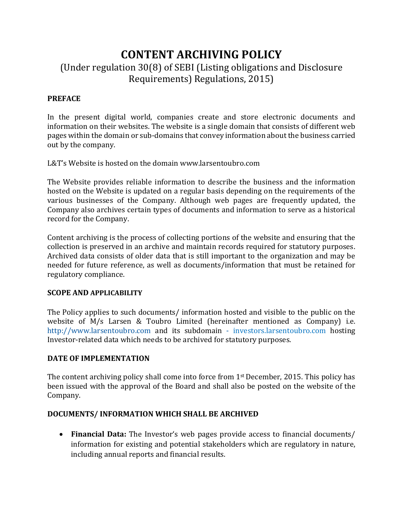# **CONTENT ARCHIVING POLICY** (Under regulation 30(8) of SEBI (Listing obligations and Disclosure Requirements) Regulations, 2015)

# **PREFACE**

In the present digital world, companies create and store electronic documents and information on their websites. The website is a single domain that consists of different web pages within the domain or sub-domains that convey information about the business carried out by the company.

L&T's Website is hosted on the domain www.larsentoubro.com

The Website provides reliable information to describe the business and the information hosted on the Website is updated on a regular basis depending on the requirements of the various businesses of the Company. Although web pages are frequently updated, the Company also archives certain types of documents and information to serve as a historical record for the Company.

Content archiving is the process of collecting portions of the [webs](https://en.wikipedia.org/wiki/World_Wide_Web)ite and ensuring that the collection is [preserved](https://en.wikipedia.org/wiki/Digital_preservation) in an archive and maintain records required for statutory purposes. Archived data consists of older data that is still important to the organization and may be needed for future reference, as well as documents/information that must be retained for regulatory compliance.

### **SCOPE AND APPLICABILITY**

The Policy applies to such documents/ information hosted and visible to the public on the website of M/s Larsen & Toubro Limited (hereinafter mentioned as Company) i.e. [http://www.larsentoubro.com](http://www.larsentoubro.com/) and its subdomain - investors.larsentoubro.com hosting Investor-related data which needs to be archived for statutory purposes.

### **DATE OF IMPLEMENTATION**

The content archiving policy shall come into force from 1<sup>st</sup> December, 2015. This policy has been issued with the approval of the Board and shall also be posted on the website of the Company.

### **DOCUMENTS/ INFORMATION WHICH SHALL BE ARCHIVED**

 **Financial Data:** The Investor's web pages provide access to financial documents/ information for existing and potential stakeholders which are regulatory in nature, including annual reports and financial results.